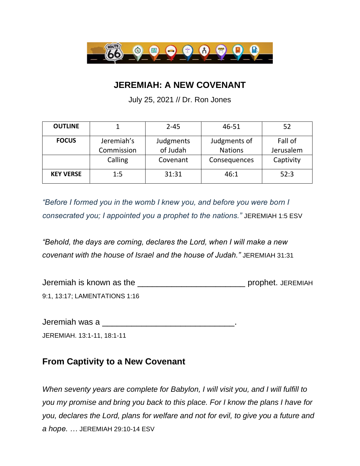

## **JEREMIAH: A NEW COVENANT**

July 25, 2021 // Dr. Ron Jones

| <b>OUTLINE</b>   |            | $2 - 45$  | 46-51          | 52        |
|------------------|------------|-----------|----------------|-----------|
| <b>FOCUS</b>     | Jeremiah's | Judgments | Judgments of   | Fall of   |
|                  | Commission | of Judah  | <b>Nations</b> | Jerusalem |
|                  | Calling    | Covenant  | Consequences   | Captivity |
| <b>KEY VERSE</b> | 1:5        | 31:31     | 46:1           | 52:3      |

*"Before I formed you in the womb I knew you, and before you were born I consecrated you; I appointed you a prophet to the nations."* JEREMIAH 1:5 ESV

*"Behold, the days are coming, declares the Lord, when I will make a new covenant with the house of Israel and the house of Judah."* JEREMIAH 31:31

Jeremiah is known as the \_\_\_\_\_\_\_\_\_\_\_\_\_\_\_\_\_\_\_\_\_\_ prophet. JEREMIAH 9:1, 13:17; LAMENTATIONS 1:16

Jeremiah was a \_\_\_\_\_\_\_\_\_\_\_\_\_\_\_\_\_\_\_\_\_\_\_\_\_\_\_.

JEREMIAH. 13:1-11, 18:1-11

## **From Captivity to a New Covenant**

*When seventy years are complete for Babylon, I will visit you, and I will fulfill to you my promise and bring you back to this place. For I know the plans I have for you, declares the Lord, plans for welfare and not for evil, to give you a future and a hope. …* JEREMIAH 29:10-14 ESV